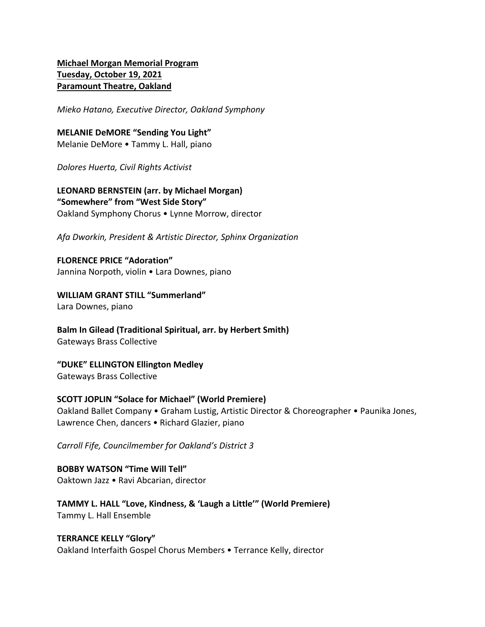# **Michael Morgan Memorial Program Tuesday, October 19, 2021 Paramount Theatre, Oakland**

*Mieko Hatano, Executive Director, Oakland Symphony*

**MELANIE DeMORE "Sending You Light"** Melanie DeMore • Tammy L. Hall, piano

*Dolores Huerta, Civil Rights Activist*

**LEONARD BERNSTEIN (arr. by Michael Morgan) "Somewhere" from "West Side Story"** Oakland Symphony Chorus • Lynne Morrow, director

*Afa Dworkin, President & Artistic Director, Sphinx Organization*

**FLORENCE PRICE "Adoration"** Jannina Norpoth, violin • Lara Downes, piano

**WILLIAM GRANT STILL "Summerland"** Lara Downes, piano

**Balm In Gilead (Traditional Spiritual, arr. by Herbert Smith)** Gateways Brass Collective

**"DUKE" ELLINGTON Ellington Medley** Gateways Brass Collective

**SCOTT JOPLIN "Solace for Michael" (World Premiere)** Oakland Ballet Company • Graham Lustig, Artistic Director & Choreographer • Paunika Jones, Lawrence Chen, dancers • Richard Glazier, piano

*Carroll Fife, Councilmember for Oakland's District 3*

**BOBBY WATSON "Time Will Tell"** Oaktown Jazz • Ravi Abcarian, director

**TAMMY L. HALL "Love, Kindness, & 'Laugh a Little'" (World Premiere)** Tammy L. Hall Ensemble

#### **TERRANCE KELLY "Glory"**

Oakland Interfaith Gospel Chorus Members • Terrance Kelly, director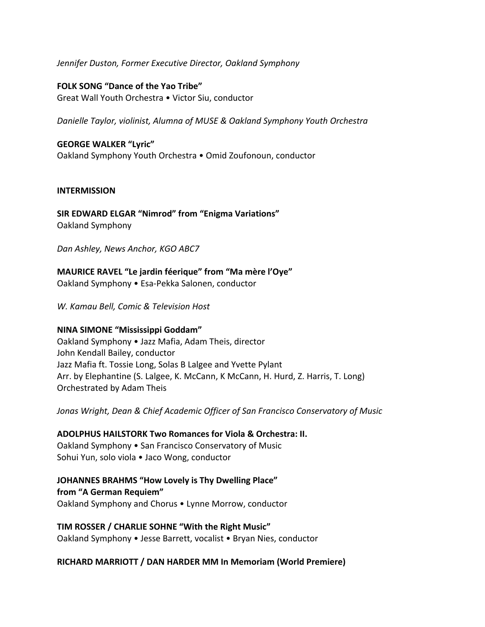## *Jennifer Duston, Former Executive Director, Oakland Symphony*

**FOLK SONG "Dance of the Yao Tribe"** Great Wall Youth Orchestra • Victor Siu, conductor

*Danielle Taylor, violinist, Alumna of MUSE & Oakland Symphony Youth Orchestra*

### **GEORGE WALKER "Lyric"**

Oakland Symphony Youth Orchestra • Omid Zoufonoun, conductor

#### **INTERMISSION**

**SIR EDWARD ELGAR "Nimrod" from "Enigma Variations"** Oakland Symphony

*Dan Ashley, News Anchor, KGO ABC7*

**MAURICE RAVEL "Le jardin féerique" from "Ma mère l'Oye"** Oakland Symphony • Esa-Pekka Salonen, conductor

*W. Kamau Bell, Comic & Television Host*

# **NINA SIMONE "Mississippi Goddam"**

Oakland Symphony • Jazz Mafia, Adam Theis, director John Kendall Bailey, conductor Jazz Mafia ft. Tossie Long, Solas B Lalgee and Yvette Pylant Arr. by Elephantine (S. Lalgee, K. McCann, K McCann, H. Hurd, Z. Harris, T. Long) Orchestrated by Adam Theis

*Jonas Wright, Dean & Chief Academic Officer of San Francisco Conservatory of Music*

**ADOLPHUS HAILSTORK Two Romances for Viola & Orchestra: II.** Oakland Symphony • San Francisco Conservatory of Music Sohui Yun, solo viola • Jaco Wong, conductor

**JOHANNES BRAHMS "How Lovely is Thy Dwelling Place" from "A German Requiem"** Oakland Symphony and Chorus • Lynne Morrow, conductor

**TIM ROSSER / CHARLIE SOHNE "With the Right Music"** Oakland Symphony • Jesse Barrett, vocalist • Bryan Nies, conductor

# **RICHARD MARRIOTT / DAN HARDER MM In Memoriam (World Premiere)**